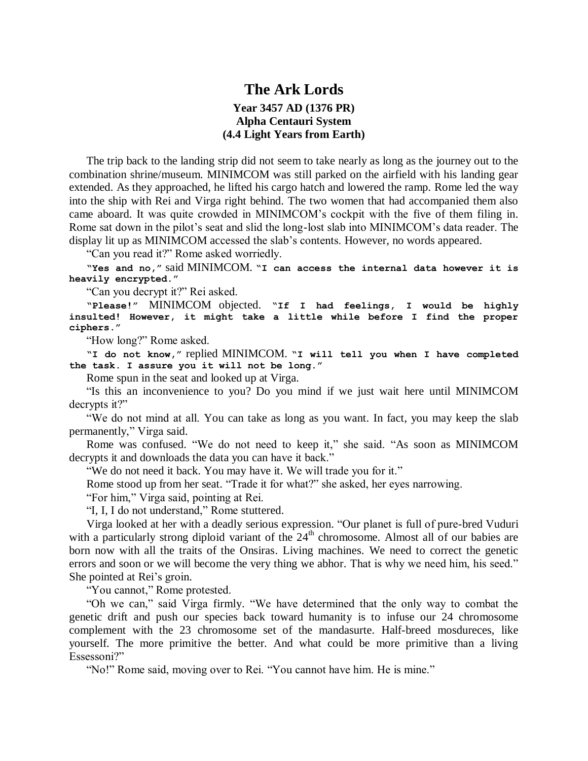## **The Ark Lords Year 3457 AD (1376 PR) Alpha Centauri System (4.4 Light Years from Earth)**

The trip back to the landing strip did not seem to take nearly as long as the journey out to the combination shrine/museum. MINIMCOM was still parked on the airfield with his landing gear extended. As they approached, he lifted his cargo hatch and lowered the ramp. Rome led the way into the ship with Rei and Virga right behind. The two women that had accompanied them also came aboard. It was quite crowded in MINIMCOM's cockpit with the five of them filing in. Rome sat down in the pilot's seat and slid the long-lost slab into MINIMCOM's data reader. The display lit up as MINIMCOM accessed the slab's contents. However, no words appeared.

"Can you read it?" Rome asked worriedly.

**"Yes and no,"** said MINIMCOM. **"I can access the internal data however it is heavily encrypted."**

"Can you decrypt it?" Rei asked.

**"Please!"** MINIMCOM objected. **"If I had feelings, I would be highly insulted! However, it might take a little while before I find the proper ciphers."**

"How long?" Rome asked.

**"I do not know,"** replied MINIMCOM. **"I will tell you when I have completed the task. I assure you it will not be long."**

Rome spun in the seat and looked up at Virga.

"Is this an inconvenience to you? Do you mind if we just wait here until MINIMCOM decrypts it?"

"We do not mind at all. You can take as long as you want. In fact, you may keep the slab permanently," Virga said.

Rome was confused. "We do not need to keep it," she said. "As soon as MINIMCOM decrypts it and downloads the data you can have it back."

"We do not need it back. You may have it. We will trade you for it."

Rome stood up from her seat. "Trade it for what?" she asked, her eyes narrowing.

"For him," Virga said, pointing at Rei.

"I, I, I do not understand," Rome stuttered.

Virga looked at her with a deadly serious expression. "Our planet is full of pure-bred Vuduri with a particularly strong diploid variant of the  $24<sup>th</sup>$  chromosome. Almost all of our babies are born now with all the traits of the Onsiras. Living machines. We need to correct the genetic errors and soon or we will become the very thing we abhor. That is why we need him, his seed." She pointed at Rei's groin.

"You cannot," Rome protested.

"Oh we can," said Virga firmly. "We have determined that the only way to combat the genetic drift and push our species back toward humanity is to infuse our 24 chromosome complement with the 23 chromosome set of the mandasurte. Half-breed mosdureces, like yourself. The more primitive the better. And what could be more primitive than a living Essessoni?"

"No!" Rome said, moving over to Rei. "You cannot have him. He is mine."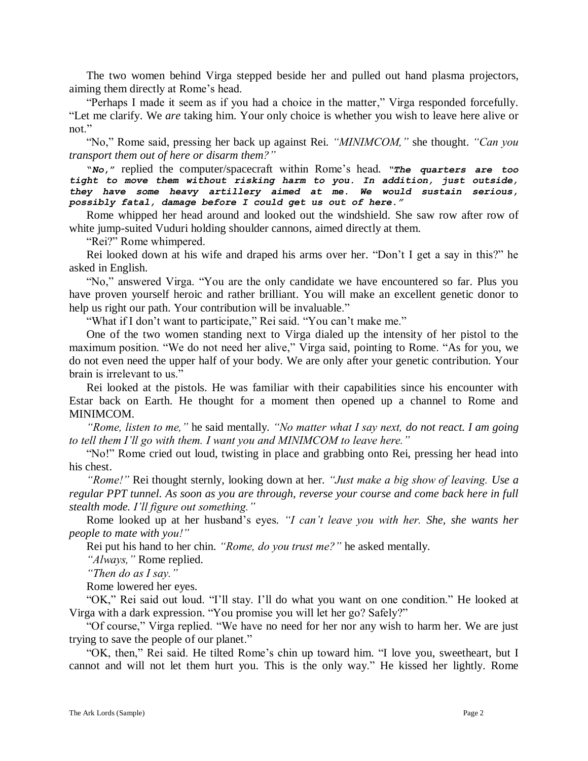The two women behind Virga stepped beside her and pulled out hand plasma projectors, aiming them directly at Rome's head.

"Perhaps I made it seem as if you had a choice in the matter," Virga responded forcefully. "Let me clarify. We *are* taking him. Your only choice is whether you wish to leave here alive or not."

"No," Rome said, pressing her back up against Rei. *"MINIMCOM,"* she thought. *"Can you transport them out of here or disarm them?"*

**"***No***,"** replied the computer/spacecraft within Rome's head*. "The quarters are too tight to move them without risking harm to you. In addition, just outside, they have some heavy artillery aimed at me. We would sustain serious, possibly fatal, damage before I could get us out of here."*

Rome whipped her head around and looked out the windshield. She saw row after row of white jump-suited Vuduri holding shoulder cannons, aimed directly at them.

"Rei?" Rome whimpered.

Rei looked down at his wife and draped his arms over her. "Don't I get a say in this?" he asked in English.

"No," answered Virga. "You are the only candidate we have encountered so far. Plus you have proven yourself heroic and rather brilliant. You will make an excellent genetic donor to help us right our path. Your contribution will be invaluable."

"What if I don't want to participate," Rei said. "You can't make me."

One of the two women standing next to Virga dialed up the intensity of her pistol to the maximum position. "We do not need her alive," Virga said, pointing to Rome. "As for you, we do not even need the upper half of your body. We are only after your genetic contribution. Your brain is irrelevant to us."

Rei looked at the pistols. He was familiar with their capabilities since his encounter with Estar back on Earth. He thought for a moment then opened up a channel to Rome and MINIMCOM.

*"Rome, listen to me,"* he said mentally*. "No matter what I say next, do not react. I am going to tell them I'll go with them. I want you and MINIMCOM to leave here."*

"No!" Rome cried out loud, twisting in place and grabbing onto Rei, pressing her head into his chest.

*"Rome!"* Rei thought sternly, looking down at her*. "Just make a big show of leaving. Use a regular PPT tunnel. As soon as you are through, reverse your course and come back here in full stealth mode. I'll figure out something."*

Rome looked up at her husband's eyes*. "I can't leave you with her. She, she wants her people to mate with you!"*

Rei put his hand to her chin. *"Rome, do you trust me?"* he asked mentally.

*"Always,"* Rome replied.

*"Then do as I say."*

Rome lowered her eyes.

"OK," Rei said out loud. "I'll stay. I'll do what you want on one condition." He looked at Virga with a dark expression. "You promise you will let her go? Safely?"

"Of course," Virga replied. "We have no need for her nor any wish to harm her. We are just trying to save the people of our planet."

"OK, then," Rei said. He tilted Rome's chin up toward him. "I love you, sweetheart, but I cannot and will not let them hurt you. This is the only way." He kissed her lightly. Rome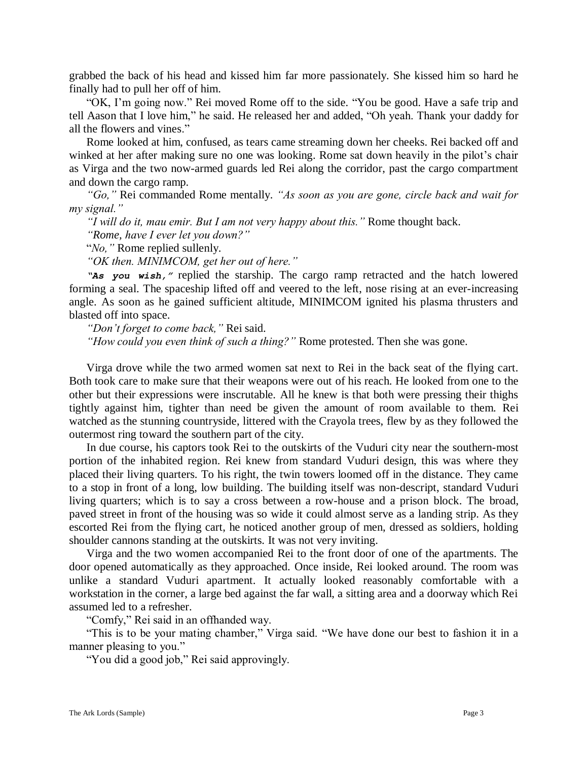grabbed the back of his head and kissed him far more passionately. She kissed him so hard he finally had to pull her off of him.

"OK, I'm going now." Rei moved Rome off to the side. "You be good. Have a safe trip and tell Aason that I love him," he said. He released her and added, "Oh yeah. Thank your daddy for all the flowers and vines."

Rome looked at him, confused, as tears came streaming down her cheeks. Rei backed off and winked at her after making sure no one was looking. Rome sat down heavily in the pilot's chair as Virga and the two now-armed guards led Rei along the corridor, past the cargo compartment and down the cargo ramp.

*"Go,"* Rei commanded Rome mentally*. "As soon as you are gone, circle back and wait for my signal."*

*"I will do it, mau emir. But I am not very happy about this."* Rome thought back.

*"Rome, have I ever let you down?"*

"*No,"* Rome replied sullenly.

*"OK then. MINIMCOM, get her out of here."*

*"As you wish,"* replied the starship. The cargo ramp retracted and the hatch lowered forming a seal. The spaceship lifted off and veered to the left, nose rising at an ever-increasing angle. As soon as he gained sufficient altitude, MINIMCOM ignited his plasma thrusters and blasted off into space.

*"Don't forget to come back,"* Rei said.

*"How could you even think of such a thing?"* Rome protested. Then she was gone.

Virga drove while the two armed women sat next to Rei in the back seat of the flying cart. Both took care to make sure that their weapons were out of his reach. He looked from one to the other but their expressions were inscrutable. All he knew is that both were pressing their thighs tightly against him, tighter than need be given the amount of room available to them. Rei watched as the stunning countryside, littered with the Crayola trees, flew by as they followed the outermost ring toward the southern part of the city.

In due course, his captors took Rei to the outskirts of the Vuduri city near the southern-most portion of the inhabited region. Rei knew from standard Vuduri design, this was where they placed their living quarters. To his right, the twin towers loomed off in the distance. They came to a stop in front of a long, low building. The building itself was non-descript, standard Vuduri living quarters; which is to say a cross between a row-house and a prison block. The broad, paved street in front of the housing was so wide it could almost serve as a landing strip. As they escorted Rei from the flying cart, he noticed another group of men, dressed as soldiers, holding shoulder cannons standing at the outskirts. It was not very inviting.

Virga and the two women accompanied Rei to the front door of one of the apartments. The door opened automatically as they approached. Once inside, Rei looked around. The room was unlike a standard Vuduri apartment. It actually looked reasonably comfortable with a workstation in the corner, a large bed against the far wall, a sitting area and a doorway which Rei assumed led to a refresher.

"Comfy," Rei said in an offhanded way.

"This is to be your mating chamber," Virga said. "We have done our best to fashion it in a manner pleasing to you."

"You did a good job," Rei said approvingly.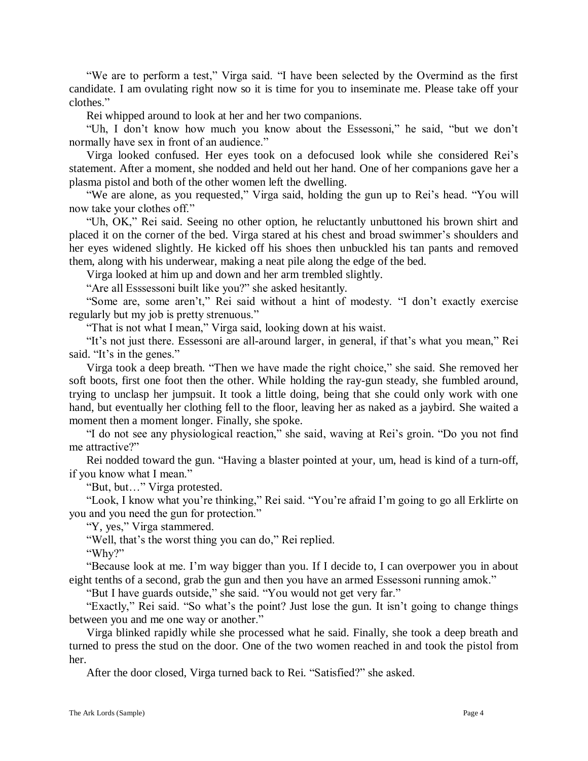"We are to perform a test," Virga said. "I have been selected by the Overmind as the first candidate. I am ovulating right now so it is time for you to inseminate me. Please take off your clothes."

Rei whipped around to look at her and her two companions.

"Uh, I don't know how much you know about the Essessoni," he said, "but we don't normally have sex in front of an audience."

Virga looked confused. Her eyes took on a defocused look while she considered Rei's statement. After a moment, she nodded and held out her hand. One of her companions gave her a plasma pistol and both of the other women left the dwelling.

"We are alone, as you requested," Virga said, holding the gun up to Rei's head. "You will now take your clothes off."

"Uh, OK," Rei said. Seeing no other option, he reluctantly unbuttoned his brown shirt and placed it on the corner of the bed. Virga stared at his chest and broad swimmer's shoulders and her eyes widened slightly. He kicked off his shoes then unbuckled his tan pants and removed them, along with his underwear, making a neat pile along the edge of the bed.

Virga looked at him up and down and her arm trembled slightly.

"Are all Esssessoni built like you?" she asked hesitantly.

"Some are, some aren't," Rei said without a hint of modesty. "I don't exactly exercise regularly but my job is pretty strenuous."

"That is not what I mean," Virga said, looking down at his waist.

"It's not just there. Essessoni are all-around larger, in general, if that's what you mean," Rei said. "It's in the genes."

Virga took a deep breath. "Then we have made the right choice," she said. She removed her soft boots, first one foot then the other. While holding the ray-gun steady, she fumbled around, trying to unclasp her jumpsuit. It took a little doing, being that she could only work with one hand, but eventually her clothing fell to the floor, leaving her as naked as a jaybird. She waited a moment then a moment longer. Finally, she spoke.

"I do not see any physiological reaction," she said, waving at Rei's groin. "Do you not find me attractive?"

Rei nodded toward the gun. "Having a blaster pointed at your, um, head is kind of a turn-off, if you know what I mean."

"But, but…" Virga protested.

"Look, I know what you're thinking," Rei said. "You're afraid I'm going to go all Erklirte on you and you need the gun for protection."

"Y, yes," Virga stammered.

"Well, that's the worst thing you can do," Rei replied.

"Why?"

"Because look at me. I'm way bigger than you. If I decide to, I can overpower you in about eight tenths of a second, grab the gun and then you have an armed Essessoni running amok."

"But I have guards outside," she said. "You would not get very far."

"Exactly," Rei said. "So what's the point? Just lose the gun. It isn't going to change things between you and me one way or another."

Virga blinked rapidly while she processed what he said. Finally, she took a deep breath and turned to press the stud on the door. One of the two women reached in and took the pistol from her.

After the door closed, Virga turned back to Rei. "Satisfied?" she asked.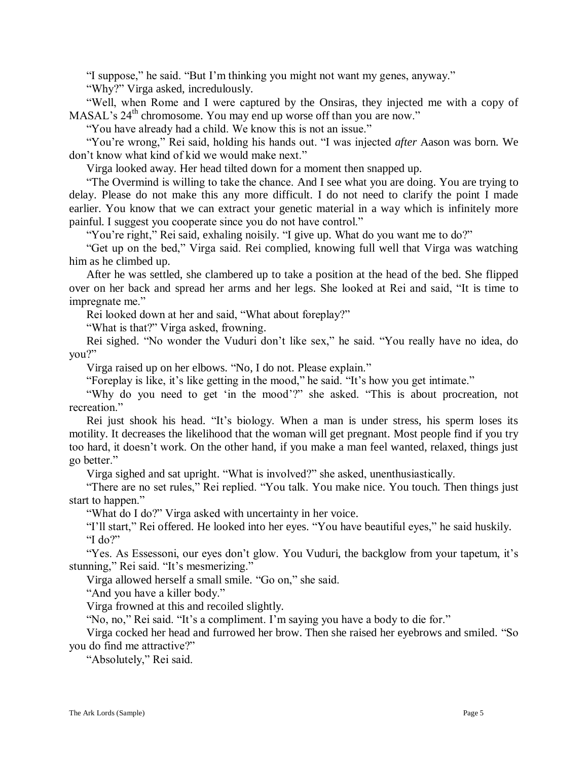"I suppose," he said. "But I'm thinking you might not want my genes, anyway."

"Why?" Virga asked, incredulously.

"Well, when Rome and I were captured by the Onsiras, they injected me with a copy of MASAL's 24<sup>th</sup> chromosome. You may end up worse off than you are now."

"You have already had a child. We know this is not an issue."

"You're wrong," Rei said, holding his hands out. "I was injected *after* Aason was born. We don't know what kind of kid we would make next."

Virga looked away. Her head tilted down for a moment then snapped up.

"The Overmind is willing to take the chance. And I see what you are doing. You are trying to delay. Please do not make this any more difficult. I do not need to clarify the point I made earlier. You know that we can extract your genetic material in a way which is infinitely more painful. I suggest you cooperate since you do not have control."

"You're right," Rei said, exhaling noisily. "I give up. What do you want me to do?"

"Get up on the bed," Virga said. Rei complied, knowing full well that Virga was watching him as he climbed up.

After he was settled, she clambered up to take a position at the head of the bed. She flipped over on her back and spread her arms and her legs. She looked at Rei and said, "It is time to impregnate me."

Rei looked down at her and said, "What about foreplay?"

"What is that?" Virga asked, frowning.

Rei sighed. "No wonder the Vuduri don't like sex," he said. "You really have no idea, do you?"

Virga raised up on her elbows. "No, I do not. Please explain."

"Foreplay is like, it's like getting in the mood," he said. "It's how you get intimate."

"Why do you need to get 'in the mood'?" she asked. "This is about procreation, not recreation."

Rei just shook his head. "It's biology. When a man is under stress, his sperm loses its motility. It decreases the likelihood that the woman will get pregnant. Most people find if you try too hard, it doesn't work. On the other hand, if you make a man feel wanted, relaxed, things just go better."

Virga sighed and sat upright. "What is involved?" she asked, unenthusiastically.

"There are no set rules," Rei replied. "You talk. You make nice. You touch. Then things just start to happen."

"What do I do?" Virga asked with uncertainty in her voice.

"I'll start," Rei offered. He looked into her eyes. "You have beautiful eyes," he said huskily. "I do?"

"Yes. As Essessoni, our eyes don't glow. You Vuduri, the backglow from your tapetum, it's stunning," Rei said. "It's mesmerizing."

Virga allowed herself a small smile. "Go on," she said.

"And you have a killer body."

Virga frowned at this and recoiled slightly.

"No, no," Rei said. "It's a compliment. I'm saying you have a body to die for."

Virga cocked her head and furrowed her brow. Then she raised her eyebrows and smiled. "So you do find me attractive?"

"Absolutely," Rei said.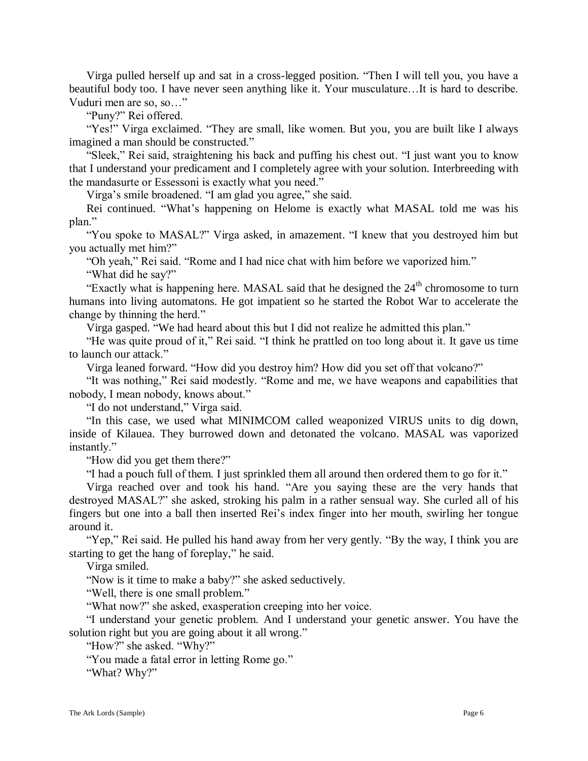Virga pulled herself up and sat in a cross-legged position. "Then I will tell you, you have a beautiful body too. I have never seen anything like it. Your musculature…It is hard to describe. Vuduri men are so, so…"

"Puny?" Rei offered.

"Yes!" Virga exclaimed. "They are small, like women. But you, you are built like I always imagined a man should be constructed."

"Sleek," Rei said, straightening his back and puffing his chest out. "I just want you to know that I understand your predicament and I completely agree with your solution. Interbreeding with the mandasurte or Essessoni is exactly what you need."

Virga's smile broadened. "I am glad you agree," she said.

Rei continued. "What's happening on Helome is exactly what MASAL told me was his plan."

"You spoke to MASAL?" Virga asked, in amazement. "I knew that you destroyed him but you actually met him?"

"Oh yeah," Rei said. "Rome and I had nice chat with him before we vaporized him."

"What did he say?"

"Exactly what is happening here. MASAL said that he designed the  $24<sup>th</sup>$  chromosome to turn humans into living automatons. He got impatient so he started the Robot War to accelerate the change by thinning the herd."

Virga gasped. "We had heard about this but I did not realize he admitted this plan."

"He was quite proud of it," Rei said. "I think he prattled on too long about it. It gave us time to launch our attack."

Virga leaned forward. "How did you destroy him? How did you set off that volcano?"

"It was nothing," Rei said modestly. "Rome and me, we have weapons and capabilities that nobody, I mean nobody, knows about."

"I do not understand," Virga said.

"In this case, we used what MINIMCOM called weaponized VIRUS units to dig down, inside of Kilauea. They burrowed down and detonated the volcano. MASAL was vaporized instantly."

"How did you get them there?"

"I had a pouch full of them. I just sprinkled them all around then ordered them to go for it."

Virga reached over and took his hand. "Are you saying these are the very hands that destroyed MASAL?" she asked, stroking his palm in a rather sensual way. She curled all of his fingers but one into a ball then inserted Rei's index finger into her mouth, swirling her tongue around it.

"Yep," Rei said. He pulled his hand away from her very gently. "By the way, I think you are starting to get the hang of foreplay," he said.

Virga smiled.

"Now is it time to make a baby?" she asked seductively.

"Well, there is one small problem."

"What now?" she asked, exasperation creeping into her voice.

"I understand your genetic problem. And I understand your genetic answer. You have the solution right but you are going about it all wrong."

"How?" she asked. "Why?"

"You made a fatal error in letting Rome go."

"What? Why?"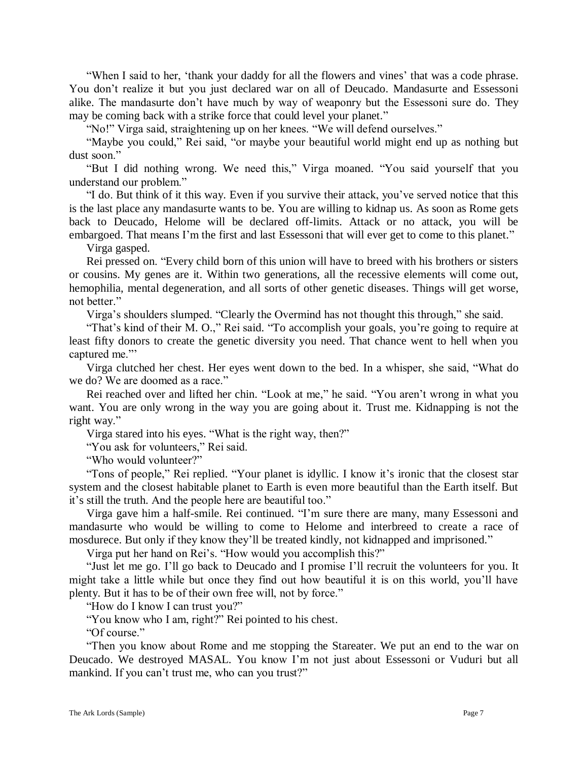"When I said to her, 'thank your daddy for all the flowers and vines' that was a code phrase. You don't realize it but you just declared war on all of Deucado. Mandasurte and Essessoni alike. The mandasurte don't have much by way of weaponry but the Essessoni sure do. They may be coming back with a strike force that could level your planet."

"No!" Virga said, straightening up on her knees. "We will defend ourselves."

"Maybe you could," Rei said, "or maybe your beautiful world might end up as nothing but dust soon."

"But I did nothing wrong. We need this," Virga moaned. "You said yourself that you understand our problem."

"I do. But think of it this way. Even if you survive their attack, you've served notice that this is the last place any mandasurte wants to be. You are willing to kidnap us. As soon as Rome gets back to Deucado, Helome will be declared off-limits. Attack or no attack, you will be embargoed. That means I'm the first and last Essessoni that will ever get to come to this planet."

Virga gasped.

Rei pressed on. "Every child born of this union will have to breed with his brothers or sisters or cousins. My genes are it. Within two generations, all the recessive elements will come out, hemophilia, mental degeneration, and all sorts of other genetic diseases. Things will get worse, not better."

Virga's shoulders slumped. "Clearly the Overmind has not thought this through," she said.

"That's kind of their M. O.," Rei said. "To accomplish your goals, you're going to require at least fifty donors to create the genetic diversity you need. That chance went to hell when you captured me."'

Virga clutched her chest. Her eyes went down to the bed. In a whisper, she said, "What do we do? We are doomed as a race."

Rei reached over and lifted her chin. "Look at me," he said. "You aren't wrong in what you want. You are only wrong in the way you are going about it. Trust me. Kidnapping is not the right way."

Virga stared into his eyes. "What is the right way, then?"

"You ask for volunteers," Rei said.

"Who would volunteer?"

"Tons of people," Rei replied. "Your planet is idyllic. I know it's ironic that the closest star system and the closest habitable planet to Earth is even more beautiful than the Earth itself. But it's still the truth. And the people here are beautiful too."

Virga gave him a half-smile. Rei continued. "I'm sure there are many, many Essessoni and mandasurte who would be willing to come to Helome and interbreed to create a race of mosdurece. But only if they know they'll be treated kindly, not kidnapped and imprisoned."

Virga put her hand on Rei's. "How would you accomplish this?"

"Just let me go. I'll go back to Deucado and I promise I'll recruit the volunteers for you. It might take a little while but once they find out how beautiful it is on this world, you'll have plenty. But it has to be of their own free will, not by force."

"How do I know I can trust you?"

"You know who I am, right?" Rei pointed to his chest.

"Of course."

"Then you know about Rome and me stopping the Stareater. We put an end to the war on Deucado. We destroyed MASAL. You know I'm not just about Essessoni or Vuduri but all mankind. If you can't trust me, who can you trust?"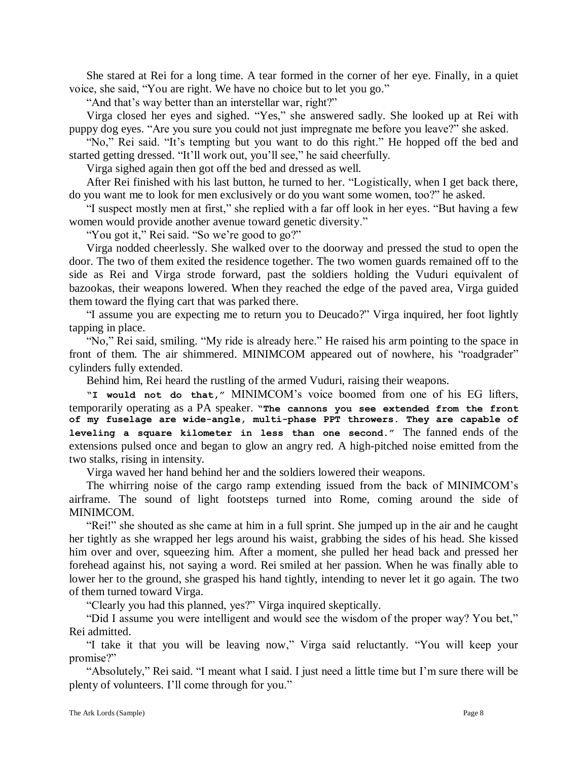She stared at Rei for a long time. A tear formed in the corner of her eye. Finally, in a quiet voice, she said, "You are right. We have no choice but to let you go."

"And that's way better than an interstellar war, right?"

Virga closed her eyes and sighed. "Yes," she answered sadly. She looked up at Rei with puppy dog eyes. "Are you sure you could not just impregnate me before you leave?" she asked.

"No," Rei said. "It's tempting but you want to do this right." He hopped off the bed and started getting dressed. "It'll work out, you'll see," he said cheerfully.

Virga sighed again then got off the bed and dressed as well.

After Rei finished with his last button, he turned to her. "Logistically, when I get back there, do you want me to look for men exclusively or do you want some women, too?" he asked.

"I suspect mostly men at first," she replied with a far off look in her eyes. "But having a few women would provide another avenue toward genetic diversity."

"You got it," Rei said. "So we're good to go?"

Virga nodded cheerlessly. She walked over to the doorway and pressed the stud to open the door. The two of them exited the residence together. The two women guards remained off to the side as Rei and Virga strode forward, past the soldiers holding the Vuduri equivalent of bazookas, their weapons lowered. When they reached the edge of the paved area, Virga guided them toward the flying cart that was parked there.

"I assume you are expecting me to return you to Deucado?" Virga inquired, her foot lightly tapping in place.

"No," Rei said, smiling. "My ride is already here." He raised his arm pointing to the space in front of them. The air shimmered. MINIMCOM appeared out of nowhere, his "roadgrader" cylinders fully extended.

Behind him, Rei heard the rustling of the armed Vuduri, raising their weapons.

**"I would not do that,"** MINIMCOM's voice boomed from one of his EG lifters, temporarily operating as a PA speaker. **"The cannons you see extended from the front of my fuselage are wide-angle, multi-phase PPT throwers. They are capable of leveling a square kilometer in less than one second."** The fanned ends of the extensions pulsed once and began to glow an angry red. A high-pitched noise emitted from the two stalks, rising in intensity.

Virga waved her hand behind her and the soldiers lowered their weapons.

The whirring noise of the cargo ramp extending issued from the back of MINIMCOM's airframe. The sound of light footsteps turned into Rome, coming around the side of MINIMCOM.

"Rei!" she shouted as she came at him in a full sprint. She jumped up in the air and he caught her tightly as she wrapped her legs around his waist, grabbing the sides of his head. She kissed him over and over, squeezing him. After a moment, she pulled her head back and pressed her forehead against his, not saying a word. Rei smiled at her passion. When he was finally able to lower her to the ground, she grasped his hand tightly, intending to never let it go again. The two of them turned toward Virga.

"Clearly you had this planned, yes?" Virga inquired skeptically.

"Did I assume you were intelligent and would see the wisdom of the proper way? You bet," Rei admitted.

"I take it that you will be leaving now," Virga said reluctantly. "You will keep your promise?"

"Absolutely," Rei said. "I meant what I said. I just need a little time but I'm sure there will be plenty of volunteers. I'll come through for you."